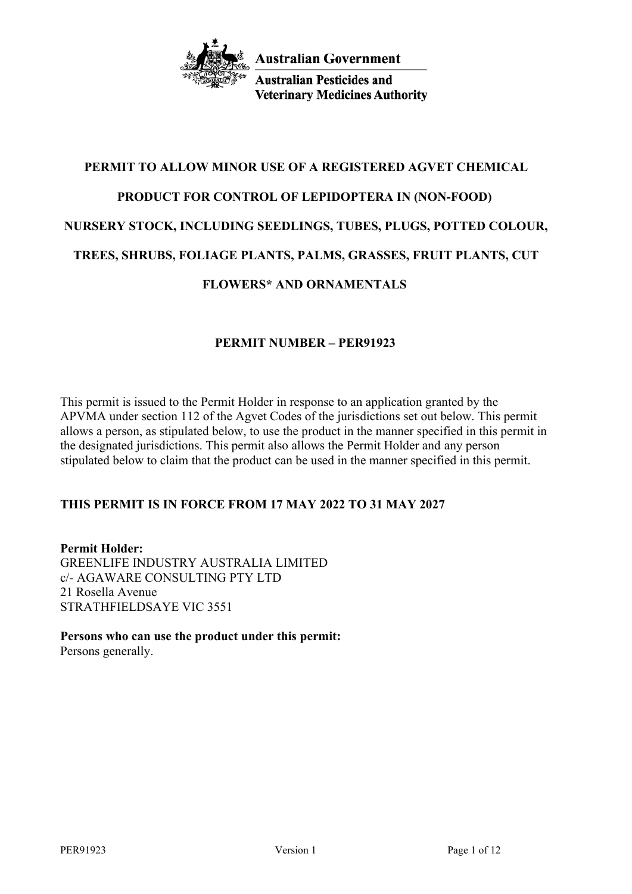

**Australian Pesticides and Veterinary Medicines Authority** 

# **PERMIT TO ALLOW MINOR USE OF A REGISTERED AGVET CHEMICAL PRODUCT FOR CONTROL OF LEPIDOPTERA IN (NON-FOOD) NURSERY STOCK, INCLUDING SEEDLINGS, TUBES, PLUGS, POTTED COLOUR, TREES, SHRUBS, FOLIAGE PLANTS, PALMS, GRASSES, FRUIT PLANTS, CUT FLOWERS\* AND ORNAMENTALS**

# **PERMIT NUMBER – PER91923**

This permit is issued to the Permit Holder in response to an application granted by the APVMA under section 112 of the Agvet Codes of the jurisdictions set out below. This permit allows a person, as stipulated below, to use the product in the manner specified in this permit in the designated jurisdictions. This permit also allows the Permit Holder and any person stipulated below to claim that the product can be used in the manner specified in this permit.

# **THIS PERMIT IS IN FORCE FROM 17 MAY 2022 TO 31 MAY 2027**

**Permit Holder:** GREENLIFE INDUSTRY AUSTRALIA LIMITED c/- AGAWARE CONSULTING PTY LTD 21 Rosella Avenue STRATHFIELDSAYE VIC 3551

**Persons who can use the product under this permit:** Persons generally.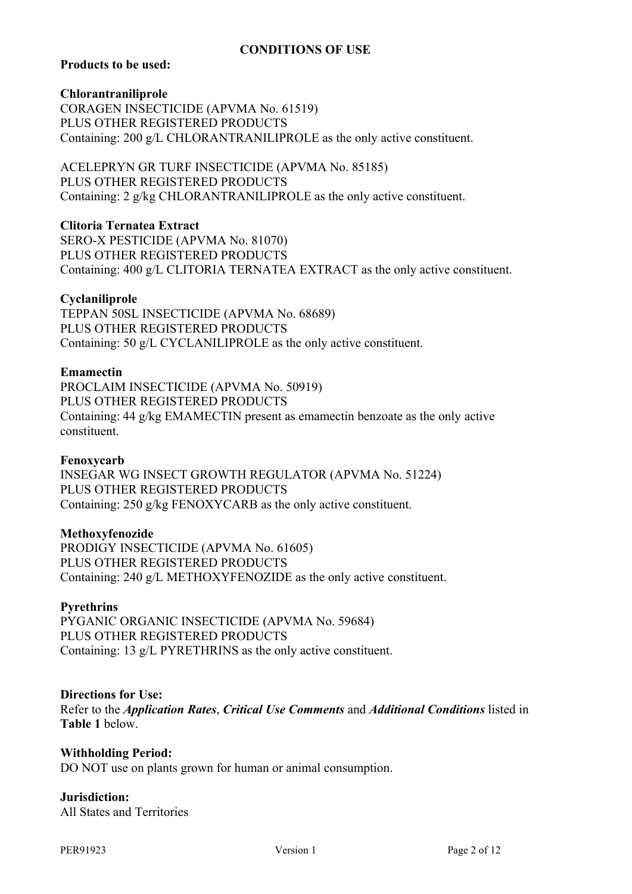## **CONDITIONS OF USE**

## **Products to be used:**

**Chlorantraniliprole**

CORAGEN INSECTICIDE (APVMA No. 61519) PLUS OTHER REGISTERED PRODUCTS Containing: 200 g/L CHLORANTRANILIPROLE as the only active constituent.

ACELEPRYN GR TURF INSECTICIDE (APVMA No. 85185) PLUS OTHER REGISTERED PRODUCTS Containing: 2 g/kg CHLORANTRANILIPROLE as the only active constituent.

**Clitoria Ternatea Extract**

SERO-X PESTICIDE (APVMA No. 81070) PLUS OTHER REGISTERED PRODUCTS Containing: 400 g/L CLITORIA TERNATEA EXTRACT as the only active constituent.

#### **Cyclaniliprole**

TEPPAN 50SL INSECTICIDE (APVMA No. 68689) PLUS OTHER REGISTERED PRODUCTS Containing: 50 g/L CYCLANILIPROLE as the only active constituent.

#### **Emamectin**

PROCLAIM INSECTICIDE (APVMA No. 50919) PLUS OTHER REGISTERED PRODUCTS Containing: 44 g/kg EMAMECTIN present as emamectin benzoate as the only active constituent.

#### **Fenoxycarb**

INSEGAR WG INSECT GROWTH REGULATOR (APVMA No. 51224) PLUS OTHER REGISTERED PRODUCTS Containing: 250 g/kg FENOXYCARB as the only active constituent.

## **Methoxyfenozide**

PRODIGY INSECTICIDE (APVMA No. 61605) PLUS OTHER REGISTERED PRODUCTS Containing: 240 g/L METHOXYFENOZIDE as the only active constituent.

## **Pyrethrins**

PYGANIC ORGANIC INSECTICIDE (APVMA No. 59684) PLUS OTHER REGISTERED PRODUCTS Containing: 13 g/L PYRETHRINS as the only active constituent.

## **Directions for Use:**

Refer to the *Application Rates*, *Critical Use Comments* and *Additional Conditions* listed in **Table 1** below.

#### **Withholding Period:**

DO NOT use on plants grown for human or animal consumption.

## **Jurisdiction:**

All States and Territories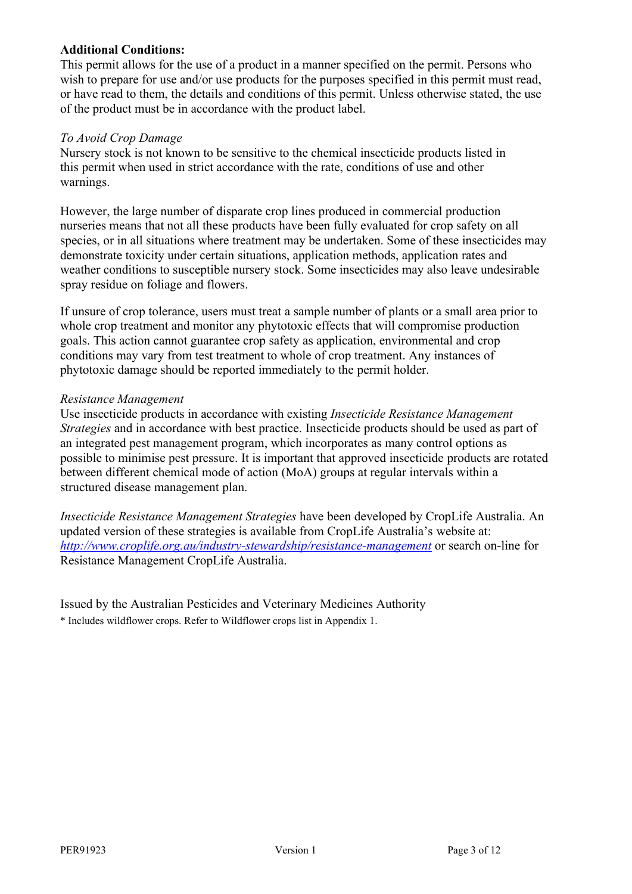## **Additional Conditions:**

This permit allows for the use of a product in a manner specified on the permit. Persons who wish to prepare for use and/or use products for the purposes specified in this permit must read, or have read to them, the details and conditions of this permit. Unless otherwise stated, the use of the product must be in accordance with the product label.

## *To Avoid Crop Damage*

Nursery stock is not known to be sensitive to the chemical insecticide products listed in this permit when used in strict accordance with the rate, conditions of use and other warnings.

However, the large number of disparate crop lines produced in commercial production nurseries means that not all these products have been fully evaluated for crop safety on all species, or in all situations where treatment may be undertaken. Some of these insecticides may demonstrate toxicity under certain situations, application methods, application rates and weather conditions to susceptible nursery stock. Some insecticides may also leave undesirable spray residue on foliage and flowers.

If unsure of crop tolerance, users must treat a sample number of plants or a small area prior to whole crop treatment and monitor any phytotoxic effects that will compromise production goals. This action cannot guarantee crop safety as application, environmental and crop conditions may vary from test treatment to whole of crop treatment. Any instances of phytotoxic damage should be reported immediately to the permit holder.

## *Resistance Management*

Use insecticide products in accordance with existing *Insecticide Resistance Management Strategies* and in accordance with best practice. Insecticide products should be used as part of an integrated pest management program, which incorporates as many control options as possible to minimise pest pressure. It is important that approved insecticide products are rotated between different chemical mode of action (MoA) groups at regular intervals within a structured disease management plan.

*Insecticide Resistance Management Strategies* have been developed by CropLife Australia. An updated version of these strategies is available from CropLife Australia's website at: *<http://www.croplife.org.au/industry-stewardship/resistance-management>* or search on-line for Resistance Management CropLife Australia.

Issued by the Australian Pesticides and Veterinary Medicines Authority \* Includes wildflower crops. Refer to Wildflower crops list in Appendix 1.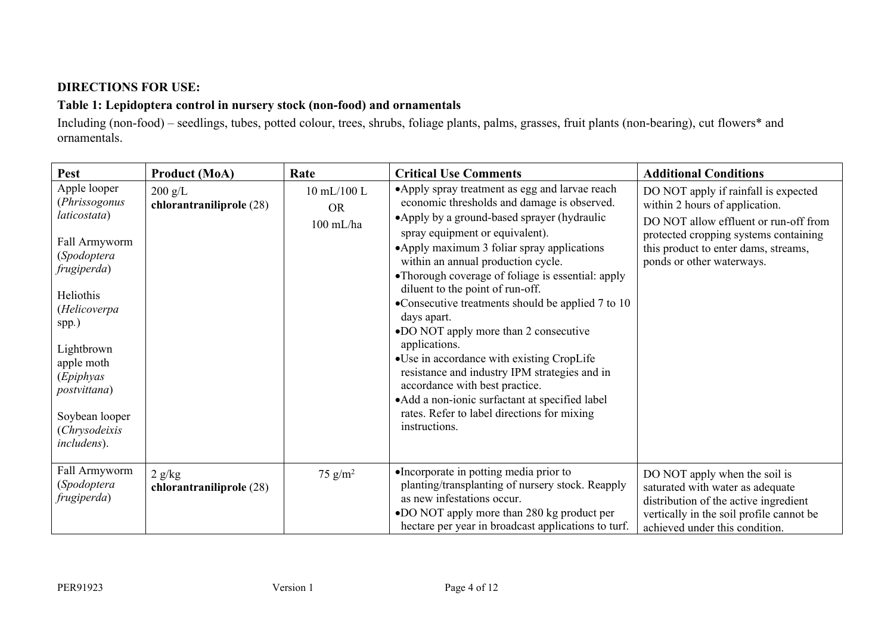# **DIRECTIONS FOR USE:**

# **Table 1: Lepidoptera control in nursery stock (non-food) and ornamentals**

Including (non-food) – seedlings, tubes, potted colour, trees, shrubs, foliage plants, palms, grasses, fruit plants (non-bearing), cut flowers\* and ornamentals.

| <b>Pest</b>                                                                                                                                                                                                                                                   | <b>Product (MoA)</b>                  | Rate                                    | <b>Critical Use Comments</b>                                                                                                                                                                                                                                                                                                                                                                                                                                                                                                                                                                                                                                                                                                                    | <b>Additional Conditions</b>                                                                                                                                                                                                  |
|---------------------------------------------------------------------------------------------------------------------------------------------------------------------------------------------------------------------------------------------------------------|---------------------------------------|-----------------------------------------|-------------------------------------------------------------------------------------------------------------------------------------------------------------------------------------------------------------------------------------------------------------------------------------------------------------------------------------------------------------------------------------------------------------------------------------------------------------------------------------------------------------------------------------------------------------------------------------------------------------------------------------------------------------------------------------------------------------------------------------------------|-------------------------------------------------------------------------------------------------------------------------------------------------------------------------------------------------------------------------------|
| Apple looper<br>(Phrissogonus<br><i>laticostata</i> )<br>Fall Armyworm<br>(Spodoptera<br>frugiperda)<br>Heliothis<br>(Helicoverpa<br>spp.)<br>Lightbrown<br>apple moth<br>(Epiphyas<br><i>postvittana</i> )<br>Soybean looper<br>(Chrysodeixis<br>includens). | $200$ g/L<br>chlorantraniliprole (28) | 10 mL/100 L<br><b>OR</b><br>$100$ mL/ha | • Apply spray treatment as egg and larvae reach<br>economic thresholds and damage is observed.<br>• Apply by a ground-based sprayer (hydraulic<br>spray equipment or equivalent).<br>•Apply maximum 3 foliar spray applications<br>within an annual production cycle.<br>•Thorough coverage of foliage is essential: apply<br>diluent to the point of run-off.<br>•Consecutive treatments should be applied 7 to 10<br>days apart.<br>•DO NOT apply more than 2 consecutive<br>applications.<br>•Use in accordance with existing CropLife<br>resistance and industry IPM strategies and in<br>accordance with best practice.<br>• Add a non-ionic surfactant at specified label<br>rates. Refer to label directions for mixing<br>instructions. | DO NOT apply if rainfall is expected<br>within 2 hours of application.<br>DO NOT allow effluent or run-off from<br>protected cropping systems containing<br>this product to enter dams, streams,<br>ponds or other waterways. |
| Fall Armyworm<br>(Spodoptera<br>frugiperda)                                                                                                                                                                                                                   | 2 g/kg<br>chlorantraniliprole (28)    | 75 $g/m^2$                              | •Incorporate in potting media prior to<br>planting/transplanting of nursery stock. Reapply<br>as new infestations occur.<br>•DO NOT apply more than 280 kg product per<br>hectare per year in broadcast applications to turf.                                                                                                                                                                                                                                                                                                                                                                                                                                                                                                                   | DO NOT apply when the soil is<br>saturated with water as adequate<br>distribution of the active ingredient<br>vertically in the soil profile cannot be<br>achieved under this condition.                                      |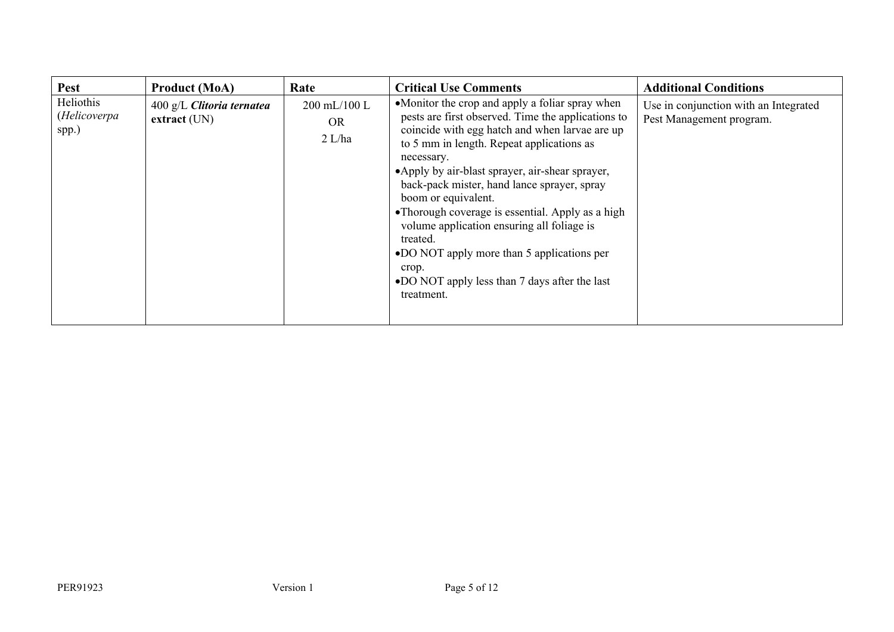| <b>Pest</b>                        | <b>Product (MoA)</b>                                  | Rate                                  | <b>Critical Use Comments</b>                                                                                                                                                                                                                                                                                                                                                                                                                                                                                                                                                    | <b>Additional Conditions</b>                                      |
|------------------------------------|-------------------------------------------------------|---------------------------------------|---------------------------------------------------------------------------------------------------------------------------------------------------------------------------------------------------------------------------------------------------------------------------------------------------------------------------------------------------------------------------------------------------------------------------------------------------------------------------------------------------------------------------------------------------------------------------------|-------------------------------------------------------------------|
| Heliothis<br>(Helicoverpa<br>spp.) | $400 \text{ g/L}$ Clitoria ternatea<br>$extract$ (UN) | 200 mL/100 L<br><b>OR</b><br>$2$ L/ha | •Monitor the crop and apply a foliar spray when<br>pests are first observed. Time the applications to<br>coincide with egg hatch and when larvae are up<br>to 5 mm in length. Repeat applications as<br>necessary.<br>•Apply by air-blast sprayer, air-shear sprayer,<br>back-pack mister, hand lance sprayer, spray<br>boom or equivalent.<br>•Thorough coverage is essential. Apply as a high<br>volume application ensuring all foliage is<br>treated.<br>•DO NOT apply more than 5 applications per<br>crop.<br>•DO NOT apply less than 7 days after the last<br>treatment. | Use in conjunction with an Integrated<br>Pest Management program. |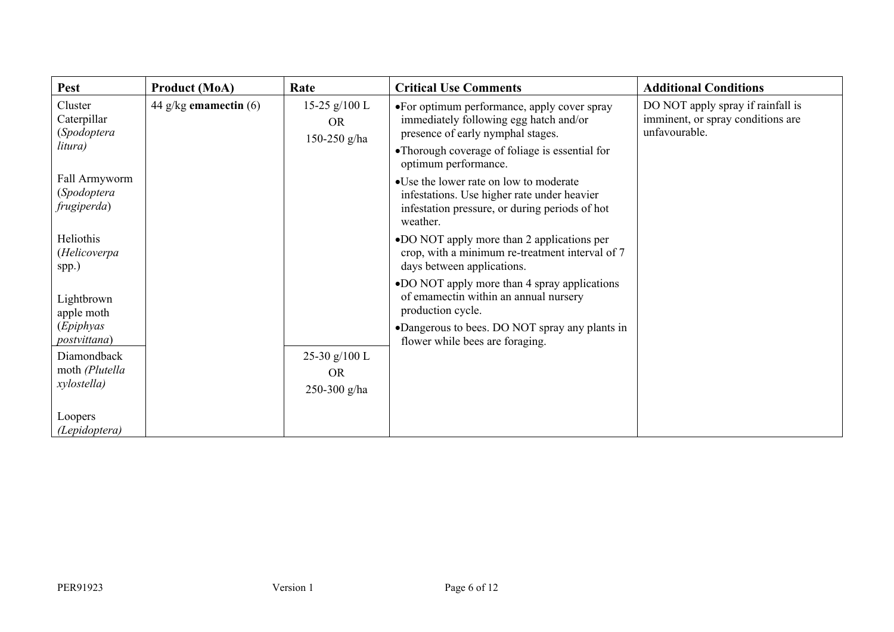| <b>Pest</b>                                      | <b>Product (MoA)</b>    | Rate                                         | <b>Critical Use Comments</b>                                                                                                                                                 | <b>Additional Conditions</b>                                                            |
|--------------------------------------------------|-------------------------|----------------------------------------------|------------------------------------------------------------------------------------------------------------------------------------------------------------------------------|-----------------------------------------------------------------------------------------|
| Cluster<br>Caterpillar<br>(Spodoptera<br>litura) | 44 g/kg emamectin $(6)$ | 15-25 $g/100$ L<br><b>OR</b><br>150-250 g/ha | •For optimum performance, apply cover spray<br>immediately following egg hatch and/or<br>presence of early nymphal stages.<br>•Thorough coverage of foliage is essential for | DO NOT apply spray if rainfall is<br>imminent, or spray conditions are<br>unfavourable. |
|                                                  |                         |                                              | optimum performance.                                                                                                                                                         |                                                                                         |
| Fall Armyworm<br>(Spodoptera<br>frugiperda)      |                         |                                              | • Use the lower rate on low to moderate<br>infestations. Use higher rate under heavier<br>infestation pressure, or during periods of hot<br>weather.                         |                                                                                         |
| Heliothis<br>(Helicoverpa<br>spp.)               |                         |                                              | •DO NOT apply more than 2 applications per<br>crop, with a minimum re-treatment interval of 7<br>days between applications.                                                  |                                                                                         |
| Lightbrown<br>apple moth                         |                         |                                              | •DO NOT apply more than 4 spray applications<br>of emamectin within an annual nursery<br>production cycle.                                                                   |                                                                                         |
| (Epiphyas<br>postvittana)                        |                         |                                              | •Dangerous to bees. DO NOT spray any plants in<br>flower while bees are foraging.                                                                                            |                                                                                         |
| Diamondback<br>moth (Plutella                    |                         | 25-30 g/100 L<br><b>OR</b>                   |                                                                                                                                                                              |                                                                                         |
| xylostella)                                      |                         | 250-300 g/ha                                 |                                                                                                                                                                              |                                                                                         |
| Loopers<br>(Lepidoptera)                         |                         |                                              |                                                                                                                                                                              |                                                                                         |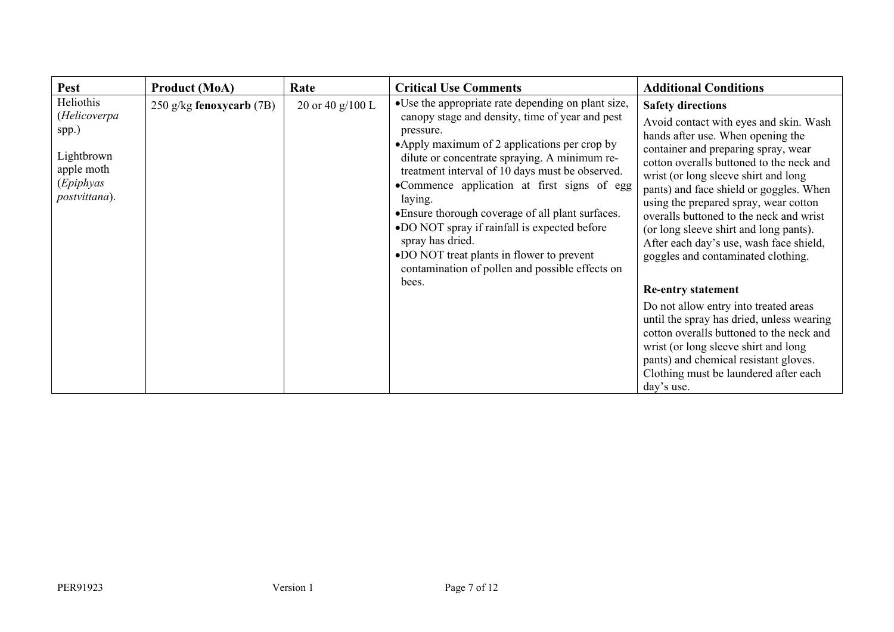| Pest                                                                                         | <b>Product (MoA)</b>     | Rate             | <b>Critical Use Comments</b>                                                                                                                                                                                                                                                                                                                                                                                                                                                                                                                                        | <b>Additional Conditions</b>                                                                                                                                                                                                                                                                                                                                                                                                                                                                                              |
|----------------------------------------------------------------------------------------------|--------------------------|------------------|---------------------------------------------------------------------------------------------------------------------------------------------------------------------------------------------------------------------------------------------------------------------------------------------------------------------------------------------------------------------------------------------------------------------------------------------------------------------------------------------------------------------------------------------------------------------|---------------------------------------------------------------------------------------------------------------------------------------------------------------------------------------------------------------------------------------------------------------------------------------------------------------------------------------------------------------------------------------------------------------------------------------------------------------------------------------------------------------------------|
| Heliothis<br>(Helicoverpa<br>spp.)<br>Lightbrown<br>apple moth<br>(Epiphyas<br>postvittana). | 250 g/kg fenoxycarb (7B) | 20 or 40 g/100 L | • Use the appropriate rate depending on plant size,<br>canopy stage and density, time of year and pest<br>pressure.<br>•Apply maximum of 2 applications per crop by<br>dilute or concentrate spraying. A minimum re-<br>treatment interval of 10 days must be observed.<br>•Commence application at first signs of egg<br>laying.<br>• Ensure thorough coverage of all plant surfaces.<br>•DO NOT spray if rainfall is expected before<br>spray has dried.<br>•DO NOT treat plants in flower to prevent<br>contamination of pollen and possible effects on<br>bees. | <b>Safety directions</b><br>Avoid contact with eyes and skin. Wash<br>hands after use. When opening the<br>container and preparing spray, wear<br>cotton overalls buttoned to the neck and<br>wrist (or long sleeve shirt and long<br>pants) and face shield or goggles. When<br>using the prepared spray, wear cotton<br>overalls buttoned to the neck and wrist<br>(or long sleeve shirt and long pants).<br>After each day's use, wash face shield,<br>goggles and contaminated clothing.<br><b>Re-entry statement</b> |
|                                                                                              |                          |                  |                                                                                                                                                                                                                                                                                                                                                                                                                                                                                                                                                                     | Do not allow entry into treated areas<br>until the spray has dried, unless wearing<br>cotton overalls buttoned to the neck and<br>wrist (or long sleeve shirt and long<br>pants) and chemical resistant gloves.<br>Clothing must be laundered after each<br>day's use.                                                                                                                                                                                                                                                    |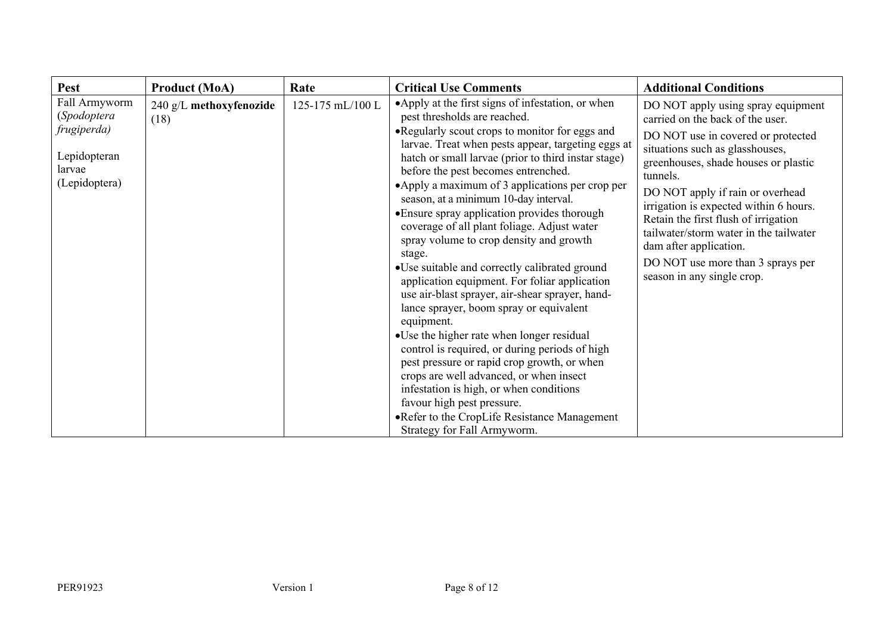| Pest                                                                                   | <b>Product (MoA)</b>            | Rate             | <b>Critical Use Comments</b>                                                                                                                                                                                                                                                                                                                                                                                                                                                                                                                                                                                                                                                                                                                                                                                                                                                                                                                                                                                                                                                                           | <b>Additional Conditions</b>                                                                                                                                                                                                                                                                                                                                                                                                                                     |
|----------------------------------------------------------------------------------------|---------------------------------|------------------|--------------------------------------------------------------------------------------------------------------------------------------------------------------------------------------------------------------------------------------------------------------------------------------------------------------------------------------------------------------------------------------------------------------------------------------------------------------------------------------------------------------------------------------------------------------------------------------------------------------------------------------------------------------------------------------------------------------------------------------------------------------------------------------------------------------------------------------------------------------------------------------------------------------------------------------------------------------------------------------------------------------------------------------------------------------------------------------------------------|------------------------------------------------------------------------------------------------------------------------------------------------------------------------------------------------------------------------------------------------------------------------------------------------------------------------------------------------------------------------------------------------------------------------------------------------------------------|
| Fall Armyworm<br>(Spodoptera<br>frugiperda)<br>Lepidopteran<br>larvae<br>(Lepidoptera) | 240 g/L methoxyfenozide<br>(18) | 125-175 mL/100 L | •Apply at the first signs of infestation, or when<br>pest thresholds are reached.<br>•Regularly scout crops to monitor for eggs and<br>larvae. Treat when pests appear, targeting eggs at<br>hatch or small larvae (prior to third instar stage)<br>before the pest becomes entrenched.<br>•Apply a maximum of 3 applications per crop per<br>season, at a minimum 10-day interval.<br>• Ensure spray application provides thorough<br>coverage of all plant foliage. Adjust water<br>spray volume to crop density and growth<br>stage.<br>•Use suitable and correctly calibrated ground<br>application equipment. For foliar application<br>use air-blast sprayer, air-shear sprayer, hand-<br>lance sprayer, boom spray or equivalent<br>equipment.<br>•Use the higher rate when longer residual<br>control is required, or during periods of high<br>pest pressure or rapid crop growth, or when<br>crops are well advanced, or when insect<br>infestation is high, or when conditions<br>favour high pest pressure.<br>•Refer to the CropLife Resistance Management<br>Strategy for Fall Armyworm. | DO NOT apply using spray equipment<br>carried on the back of the user.<br>DO NOT use in covered or protected<br>situations such as glasshouses,<br>greenhouses, shade houses or plastic<br>tunnels.<br>DO NOT apply if rain or overhead<br>irrigation is expected within 6 hours.<br>Retain the first flush of irrigation<br>tailwater/storm water in the tailwater<br>dam after application.<br>DO NOT use more than 3 sprays per<br>season in any single crop. |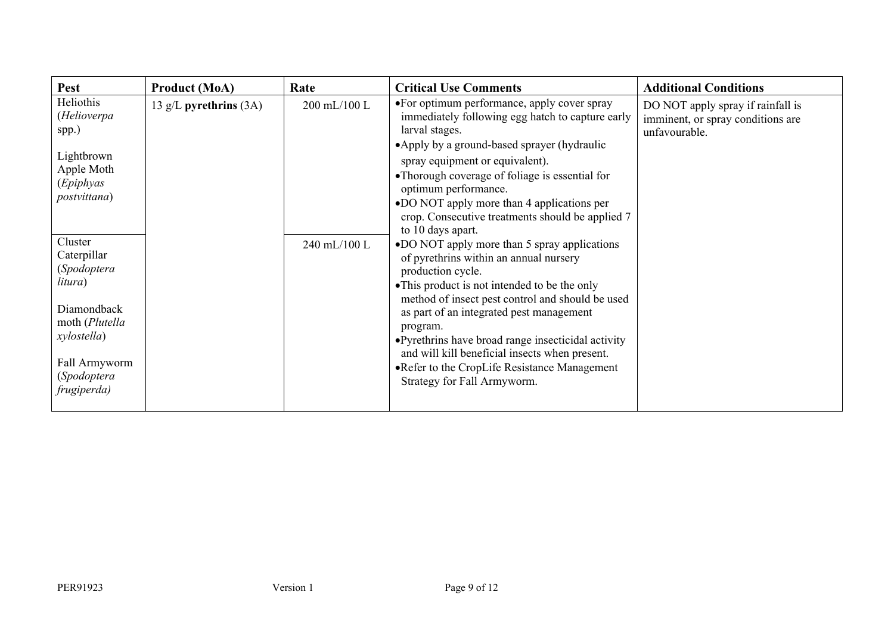| <b>Pest</b>                                                                                                                                     | <b>Product (MoA)</b>     | Rate         | <b>Critical Use Comments</b>                                                                                                                                                                                                                                                                                                                                                                                                                                      | <b>Additional Conditions</b>                                                            |
|-------------------------------------------------------------------------------------------------------------------------------------------------|--------------------------|--------------|-------------------------------------------------------------------------------------------------------------------------------------------------------------------------------------------------------------------------------------------------------------------------------------------------------------------------------------------------------------------------------------------------------------------------------------------------------------------|-----------------------------------------------------------------------------------------|
| Heliothis<br>(Helioverpa<br>spp.)<br>Lightbrown<br>Apple Moth<br>(Epiphyas<br>postvittana)                                                      | 13 g/L pyrethrins $(3A)$ | 200 mL/100 L | •For optimum performance, apply cover spray<br>immediately following egg hatch to capture early<br>larval stages.<br>•Apply by a ground-based sprayer (hydraulic<br>spray equipment or equivalent).<br>•Thorough coverage of foliage is essential for<br>optimum performance.<br>.DO NOT apply more than 4 applications per<br>crop. Consecutive treatments should be applied 7<br>to 10 days apart.                                                              | DO NOT apply spray if rainfall is<br>imminent, or spray conditions are<br>unfavourable. |
| Cluster<br>Caterpillar<br>(Spodoptera<br>litura)<br>Diamondback<br>moth (Plutella<br>xylostella)<br>Fall Armyworm<br>(Spodoptera<br>frugiperda) |                          | 240 mL/100 L | •DO NOT apply more than 5 spray applications<br>of pyrethrins within an annual nursery<br>production cycle.<br>• This product is not intended to be the only<br>method of insect pest control and should be used<br>as part of an integrated pest management<br>program.<br>• Pyrethrins have broad range insecticidal activity<br>and will kill beneficial insects when present.<br>• Refer to the CropLife Resistance Management<br>Strategy for Fall Armyworm. |                                                                                         |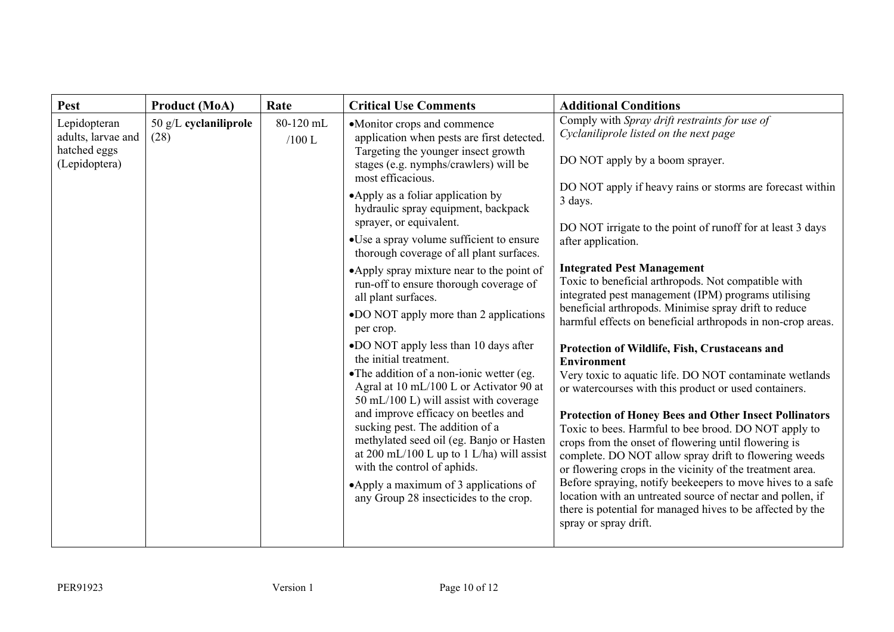| <b>Pest</b>                                                         | <b>Product (MoA)</b>            | Rate                  | <b>Critical Use Comments</b>                                                                                                                                                                                                                                                                                                                                                                                                                                                                                                                                                                                                                                                                                                                                                                                                                                                                                                                                                                                                                  | <b>Additional Conditions</b>                                                                                                                                                                                                                                                                                                                                                                                                                                                                                                                                                                                                                                                                                                                                                                                                                                                                                                                                                                                                                                                                                                                                                                                                                                                          |
|---------------------------------------------------------------------|---------------------------------|-----------------------|-----------------------------------------------------------------------------------------------------------------------------------------------------------------------------------------------------------------------------------------------------------------------------------------------------------------------------------------------------------------------------------------------------------------------------------------------------------------------------------------------------------------------------------------------------------------------------------------------------------------------------------------------------------------------------------------------------------------------------------------------------------------------------------------------------------------------------------------------------------------------------------------------------------------------------------------------------------------------------------------------------------------------------------------------|---------------------------------------------------------------------------------------------------------------------------------------------------------------------------------------------------------------------------------------------------------------------------------------------------------------------------------------------------------------------------------------------------------------------------------------------------------------------------------------------------------------------------------------------------------------------------------------------------------------------------------------------------------------------------------------------------------------------------------------------------------------------------------------------------------------------------------------------------------------------------------------------------------------------------------------------------------------------------------------------------------------------------------------------------------------------------------------------------------------------------------------------------------------------------------------------------------------------------------------------------------------------------------------|
| Lepidopteran<br>adults, larvae and<br>hatched eggs<br>(Lepidoptera) | $50$ g/L cyclaniliprole<br>(28) | 80-120 mL<br>$/100$ L | •Monitor crops and commence<br>application when pests are first detected.<br>Targeting the younger insect growth<br>stages (e.g. nymphs/crawlers) will be<br>most efficacious.<br>• Apply as a foliar application by<br>hydraulic spray equipment, backpack<br>sprayer, or equivalent.<br>•Use a spray volume sufficient to ensure<br>thorough coverage of all plant surfaces.<br>•Apply spray mixture near to the point of<br>run-off to ensure thorough coverage of<br>all plant surfaces.<br>•DO NOT apply more than 2 applications<br>per crop.<br>•DO NOT apply less than 10 days after<br>the initial treatment.<br>• The addition of a non-ionic wetter (eg.<br>Agral at 10 mL/100 L or Activator 90 at<br>50 mL/100 L) will assist with coverage<br>and improve efficacy on beetles and<br>sucking pest. The addition of a<br>methylated seed oil (eg. Banjo or Hasten<br>at 200 mL/100 L up to 1 L/ha) will assist<br>with the control of aphids.<br>•Apply a maximum of 3 applications of<br>any Group 28 insecticides to the crop. | Comply with Spray drift restraints for use of<br>Cyclaniliprole listed on the next page<br>DO NOT apply by a boom sprayer.<br>DO NOT apply if heavy rains or storms are forecast within<br>3 days.<br>DO NOT irrigate to the point of runoff for at least 3 days<br>after application.<br><b>Integrated Pest Management</b><br>Toxic to beneficial arthropods. Not compatible with<br>integrated pest management (IPM) programs utilising<br>beneficial arthropods. Minimise spray drift to reduce<br>harmful effects on beneficial arthropods in non-crop areas.<br>Protection of Wildlife, Fish, Crustaceans and<br><b>Environment</b><br>Very toxic to aquatic life. DO NOT contaminate wetlands<br>or watercourses with this product or used containers.<br><b>Protection of Honey Bees and Other Insect Pollinators</b><br>Toxic to bees. Harmful to bee brood. DO NOT apply to<br>crops from the onset of flowering until flowering is<br>complete. DO NOT allow spray drift to flowering weeds<br>or flowering crops in the vicinity of the treatment area.<br>Before spraying, notify beekeepers to move hives to a safe<br>location with an untreated source of nectar and pollen, if<br>there is potential for managed hives to be affected by the<br>spray or spray drift. |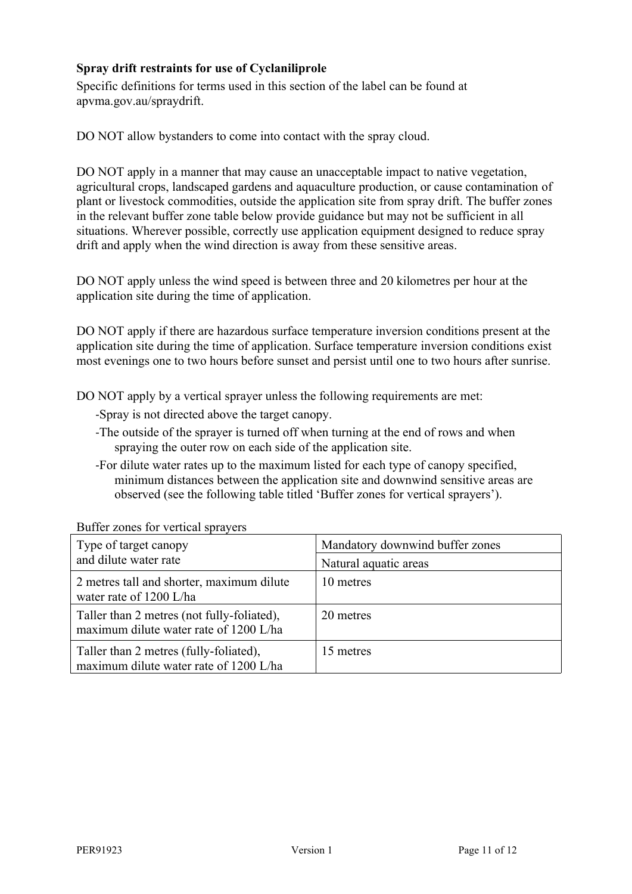## **Spray drift restraints for use of Cyclaniliprole**

Specific definitions for terms used in this section of the label can be found at apvma.gov.au/spraydrift.

DO NOT allow bystanders to come into contact with the spray cloud.

DO NOT apply in a manner that may cause an unacceptable impact to native vegetation, agricultural crops, landscaped gardens and aquaculture production, or cause contamination of plant or livestock commodities, outside the application site from spray drift. The buffer zones in the relevant buffer zone table below provide guidance but may not be sufficient in all situations. Wherever possible, correctly use application equipment designed to reduce spray drift and apply when the wind direction is away from these sensitive areas.

DO NOT apply unless the wind speed is between three and 20 kilometres per hour at the application site during the time of application.

DO NOT apply if there are hazardous surface temperature inversion conditions present at the application site during the time of application. Surface temperature inversion conditions exist most evenings one to two hours before sunset and persist until one to two hours after sunrise.

DO NOT apply by a vertical sprayer unless the following requirements are met:

- -Spray is not directed above the target canopy.
- -The outside of the sprayer is turned off when turning at the end of rows and when spraying the outer row on each side of the application site.
- -For dilute water rates up to the maximum listed for each type of canopy specified, minimum distances between the application site and downwind sensitive areas are observed (see the following table titled 'Buffer zones for vertical sprayers').

| Type of target canopy<br>and dilute water rate                                       | Mandatory downwind buffer zones<br>Natural aquatic areas |
|--------------------------------------------------------------------------------------|----------------------------------------------------------|
| 2 metres tall and shorter, maximum dilute<br>water rate of 1200 L/ha                 | 10 metres                                                |
| Taller than 2 metres (not fully-foliated),<br>maximum dilute water rate of 1200 L/ha | 20 metres                                                |
| Taller than 2 metres (fully-foliated),<br>maximum dilute water rate of 1200 L/ha     | 15 metres                                                |

Buffer zones for vertical sprayers